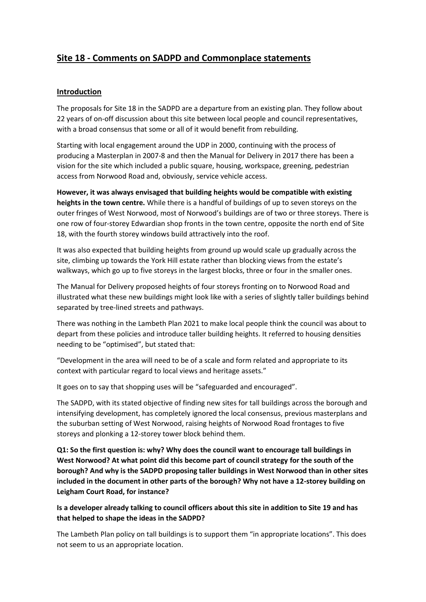# **Site 18 - Comments on SADPD and Commonplace statements**

# **Introduction**

The proposals for Site 18 in the SADPD are a departure from an existing plan. They follow about 22 years of on-off discussion about this site between local people and council representatives, with a broad consensus that some or all of it would benefit from rebuilding.

Starting with local engagement around the UDP in 2000, continuing with the process of producing a Masterplan in 2007-8 and then the Manual for Delivery in 2017 there has been a vision for the site which included a public square, housing, workspace, greening, pedestrian access from Norwood Road and, obviously, service vehicle access.

**However, it was always envisaged that building heights would be compatible with existing heights in the town centre.** While there is a handful of buildings of up to seven storeys on the outer fringes of West Norwood, most of Norwood's buildings are of two or three storeys. There is one row of four-storey Edwardian shop fronts in the town centre, opposite the north end of Site 18, with the fourth storey windows build attractively into the roof.

It was also expected that building heights from ground up would scale up gradually across the site, climbing up towards the York Hill estate rather than blocking views from the estate's walkways, which go up to five storeys in the largest blocks, three or four in the smaller ones.

The Manual for Delivery proposed heights of four storeys fronting on to Norwood Road and illustrated what these new buildings might look like with a series of slightly taller buildings behind separated by tree-lined streets and pathways.

There was nothing in the Lambeth Plan 2021 to make local people think the council was about to depart from these policies and introduce taller building heights. It referred to housing densities needing to be "optimised", but stated that:

"Development in the area will need to be of a scale and form related and appropriate to its context with particular regard to local views and heritage assets."

It goes on to say that shopping uses will be "safeguarded and encouraged".

The SADPD, with its stated objective of finding new sites for tall buildings across the borough and intensifying development, has completely ignored the local consensus, previous masterplans and the suburban setting of West Norwood, raising heights of Norwood Road frontages to five storeys and plonking a 12-storey tower block behind them.

**Q1: So the first question is: why? Why does the council want to encourage tall buildings in West Norwood? At what point did this become part of council strategy for the south of the borough? And why is the SADPD proposing taller buildings in West Norwood than in other sites included in the document in other parts of the borough? Why not have a 12-storey building on Leigham Court Road, for instance?**

## **Is a developer already talking to council officers about this site in addition to Site 19 and has that helped to shape the ideas in the SADPD?**

The Lambeth Plan policy on tall buildings is to support them "in appropriate locations". This does not seem to us an appropriate location.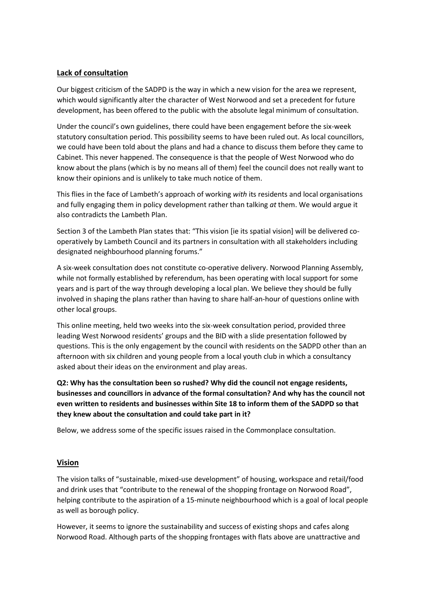#### **Lack of consultation**

Our biggest criticism of the SADPD is the way in which a new vision for the area we represent, which would significantly alter the character of West Norwood and set a precedent for future development, has been offered to the public with the absolute legal minimum of consultation.

Under the council's own guidelines, there could have been engagement before the six-week statutory consultation period. This possibility seems to have been ruled out. As local councillors, we could have been told about the plans and had a chance to discuss them before they came to Cabinet. This never happened. The consequence is that the people of West Norwood who do know about the plans (which is by no means all of them) feel the council does not really want to know their opinions and is unlikely to take much notice of them.

This flies in the face of Lambeth's approach of working *with* its residents and local organisations and fully engaging them in policy development rather than talking *at* them. We would argue it also contradicts the Lambeth Plan.

Section 3 of the Lambeth Plan states that: "This vision [ie its spatial vision] will be delivered cooperatively by Lambeth Council and its partners in consultation with all stakeholders including designated neighbourhood planning forums."

A six-week consultation does not constitute co-operative delivery. Norwood Planning Assembly, while not formally established by referendum, has been operating with local support for some years and is part of the way through developing a local plan. We believe they should be fully involved in shaping the plans rather than having to share half-an-hour of questions online with other local groups.

This online meeting, held two weeks into the six-week consultation period, provided three leading West Norwood residents' groups and the BID with a slide presentation followed by questions. This is the only engagement by the council with residents on the SADPD other than an afternoon with six children and young people from a local youth club in which a consultancy asked about their ideas on the environment and play areas.

**Q2: Why has the consultation been so rushed? Why did the council not engage residents, businesses and councillors in advance of the formal consultation? And why has the council not even written to residents and businesses within Site 18 to inform them of the SADPD so that they knew about the consultation and could take part in it?**

Below, we address some of the specific issues raised in the Commonplace consultation.

#### **Vision**

The vision talks of "sustainable, mixed-use development" of housing, workspace and retail/food and drink uses that "contribute to the renewal of the shopping frontage on Norwood Road", helping contribute to the aspiration of a 15-minute neighbourhood which is a goal of local people as well as borough policy.

However, it seems to ignore the sustainability and success of existing shops and cafes along Norwood Road. Although parts of the shopping frontages with flats above are unattractive and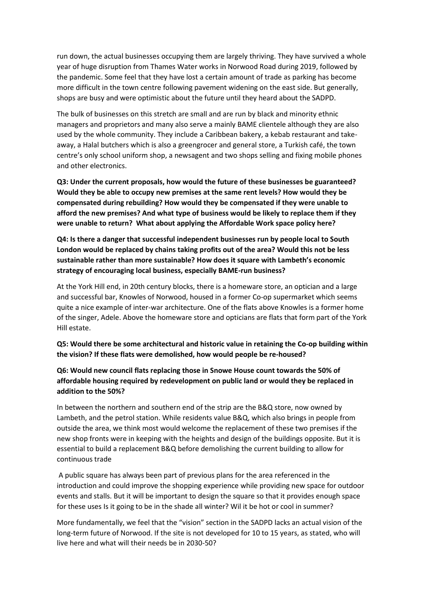run down, the actual businesses occupying them are largely thriving. They have survived a whole year of huge disruption from Thames Water works in Norwood Road during 2019, followed by the pandemic. Some feel that they have lost a certain amount of trade as parking has become more difficult in the town centre following pavement widening on the east side. But generally, shops are busy and were optimistic about the future until they heard about the SADPD.

The bulk of businesses on this stretch are small and are run by black and minority ethnic managers and proprietors and many also serve a mainly BAME clientele although they are also used by the whole community. They include a Caribbean bakery, a kebab restaurant and takeaway, a Halal butchers which is also a greengrocer and general store, a Turkish café, the town centre's only school uniform shop, a newsagent and two shops selling and fixing mobile phones and other electronics.

**Q3: Under the current proposals, how would the future of these businesses be guaranteed? Would they be able to occupy new premises at the same rent levels? How would they be compensated during rebuilding? How would they be compensated if they were unable to afford the new premises? And what type of business would be likely to replace them if they were unable to return? What about applying the Affordable Work space policy here?**

**Q4: Is there a danger that successful independent businesses run by people local to South London would be replaced by chains taking profits out of the area? Would this not be less sustainable rather than more sustainable? How does it square with Lambeth's economic strategy of encouraging local business, especially BAME-run business?**

At the York Hill end, in 20th century blocks, there is a homeware store, an optician and a large and successful bar, Knowles of Norwood, housed in a former Co-op supermarket which seems quite a nice example of inter-war architecture. One of the flats above Knowles is a former home of the singer, Adele. Above the homeware store and opticians are flats that form part of the York Hill estate.

**Q5: Would there be some architectural and historic value in retaining the Co-op building within the vision? If these flats were demolished, how would people be re-housed?** 

**Q6: Would new council flats replacing those in Snowe House count towards the 50% of affordable housing required by redevelopment on public land or would they be replaced in addition to the 50%?**

In between the northern and southern end of the strip are the B&Q store, now owned by Lambeth, and the petrol station. While residents value B&Q, which also brings in people from outside the area, we think most would welcome the replacement of these two premises if the new shop fronts were in keeping with the heights and design of the buildings opposite. But it is essential to build a replacement B&Q before demolishing the current building to allow for continuous trade

A public square has always been part of previous plans for the area referenced in the introduction and could improve the shopping experience while providing new space for outdoor events and stalls. But it will be important to design the square so that it provides enough space for these uses Is it going to be in the shade all winter? Wil it be hot or cool in summer?

More fundamentally, we feel that the "vision" section in the SADPD lacks an actual vision of the long-term future of Norwood. If the site is not developed for 10 to 15 years, as stated, who will live here and what will their needs be in 2030-50?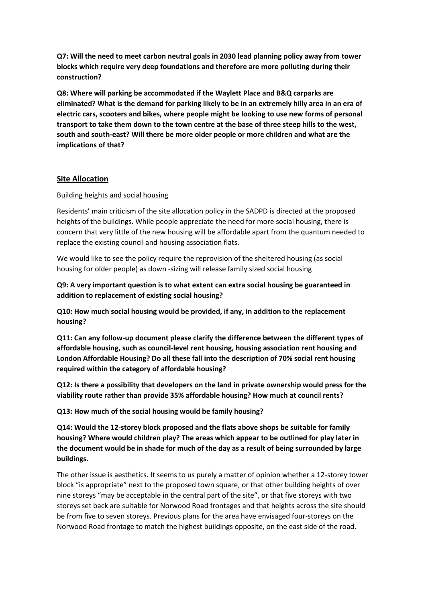**Q7: Will the need to meet carbon neutral goals in 2030 lead planning policy away from tower blocks which require very deep foundations and therefore are more polluting during their construction?** 

**Q8: Where will parking be accommodated if the Waylett Place and B&Q carparks are eliminated? What is the demand for parking likely to be in an extremely hilly area in an era of electric cars, scooters and bikes, where people might be looking to use new forms of personal transport to take them down to the town centre at the base of three steep hills to the west, south and south-east? Will there be more older people or more children and what are the implications of that?**

#### **Site Allocation**

#### Building heights and social housing

Residents' main criticism of the site allocation policy in the SADPD is directed at the proposed heights of the buildings. While people appreciate the need for more social housing, there is concern that very little of the new housing will be affordable apart from the quantum needed to replace the existing council and housing association flats.

We would like to see the policy require the reprovision of the sheltered housing (as social housing for older people) as down -sizing will release family sized social housing

# **Q9: A very important question is to what extent can extra social housing be guaranteed in addition to replacement of existing social housing?**

**Q10: How much social housing would be provided, if any, in addition to the replacement housing?**

**Q11: Can any follow-up document please clarify the difference between the different types of affordable housing, such as council-level rent housing, housing association rent housing and London Affordable Housing? Do all these fall into the description of 70% social rent housing required within the category of affordable housing?**

**Q12: Is there a possibility that developers on the land in private ownership would press for the viability route rather than provide 35% affordable housing? How much at council rents?** 

**Q13: How much of the social housing would be family housing?**

**Q14: Would the 12-storey block proposed and the flats above shops be suitable for family housing? Where would children play? The areas which appear to be outlined for play later in the document would be in shade for much of the day as a result of being surrounded by large buildings.**

The other issue is aesthetics. It seems to us purely a matter of opinion whether a 12-storey tower block "is appropriate" next to the proposed town square, or that other building heights of over nine storeys "may be acceptable in the central part of the site", or that five storeys with two storeys set back are suitable for Norwood Road frontages and that heights across the site should be from five to seven storeys. Previous plans for the area have envisaged four-storeys on the Norwood Road frontage to match the highest buildings opposite, on the east side of the road.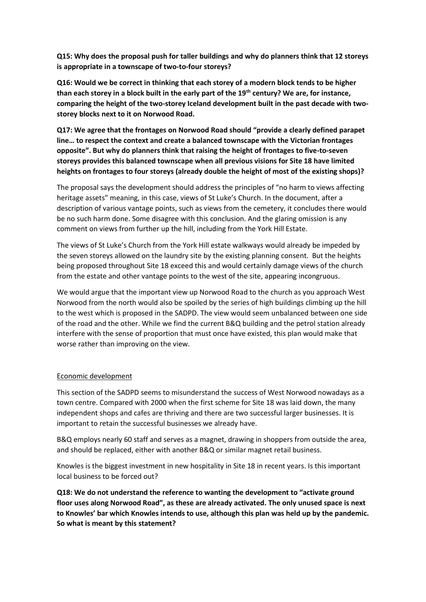**Q15: Why does the proposal push for taller buildings and why do planners think that 12 storeys is appropriate in a townscape of two-to-four storeys?**

**Q16: Would we be correct in thinking that each storey of a modern block tends to be higher than each storey in a block built in the early part of the 19th century? We are, for instance, comparing the height of the two-storey Iceland development built in the past decade with twostorey blocks next to it on Norwood Road.**

**Q17: We agree that the frontages on Norwood Road should "provide a clearly defined parapet line… to respect the context and create a balanced townscape with the Victorian frontages opposite". But why do planners think that raising the height of frontages to five-to-seven storeys provides this balanced townscape when all previous visions for Site 18 have limited heights on frontages to four storeys (already double the height of most of the existing shops)?**

The proposal says the development should address the principles of "no harm to views affecting heritage assets" meaning, in this case, views of St Luke's Church. In the document, after a description of various vantage points, such as views from the cemetery, it concludes there would be no such harm done. Some disagree with this conclusion. And the glaring omission is any comment on views from further up the hill, including from the York Hill Estate.

The views of St Luke's Church from the York Hill estate walkways would already be impeded by the seven storeys allowed on the laundry site by the existing planning consent. But the heights being proposed throughout Site 18 exceed this and would certainly damage views of the church from the estate and other vantage points to the west of the site, appearing incongruous.

We would argue that the important view up Norwood Road to the church as you approach West Norwood from the north would also be spoiled by the series of high buildings climbing up the hill to the west which is proposed in the SADPD. The view would seem unbalanced between one side of the road and the other. While we find the current B&Q building and the petrol station already interfere with the sense of proportion that must once have existed, this plan would make that worse rather than improving on the view.

#### Economic development

This section of the SADPD seems to misunderstand the success of West Norwood nowadays as a town centre. Compared with 2000 when the first scheme for Site 18 was laid down, the many independent shops and cafes are thriving and there are two successful larger businesses. It is important to retain the successful businesses we already have.

B&Q employs nearly 60 staff and serves as a magnet, drawing in shoppers from outside the area, and should be replaced, either with another B&Q or similar magnet retail business.

Knowles is the biggest investment in new hospitality in Site 18 in recent years. Is this important local business to be forced out?

**Q18: We do not understand the reference to wanting the development to "activate ground floor uses along Norwood Road", as these are already activated. The only unused space is next to Knowles' bar which Knowles intends to use, although this plan was held up by the pandemic. So what is meant by this statement?**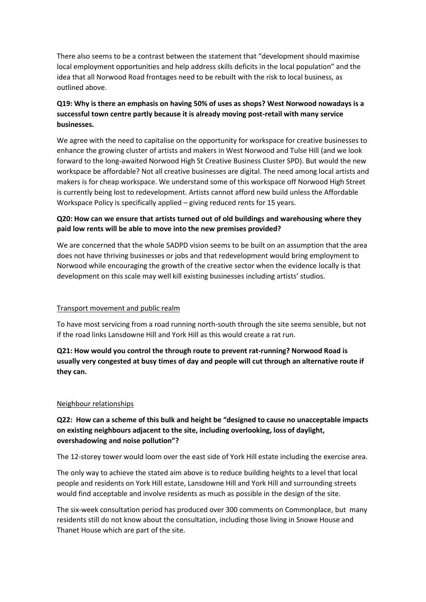There also seems to be a contrast between the statement that "development should maximise local employment opportunities and help address skills deficits in the local population" and the idea that all Norwood Road frontages need to be rebuilt with the risk to local business, as outlined above.

# **Q19: Why is there an emphasis on having 50% of uses as shops? West Norwood nowadays is a successful town centre partly because it is already moving post-retail with many service businesses.**

We agree with the need to capitalise on the opportunity for workspace for creative businesses to enhance the growing cluster of artists and makers in West Norwood and Tulse Hill (and we look forward to the long-awaited Norwood High St Creative Business Cluster SPD). But would the new workspace be affordable? Not all creative businesses are digital. The need among local artists and makers is for cheap workspace. We understand some of this workspace off Norwood High Street is currently being lost to redevelopment. Artists cannot afford new build unless the Affordable Workspace Policy is specifically applied – giving reduced rents for 15 years.

#### **Q20: How can we ensure that artists turned out of old buildings and warehousing where they paid low rents will be able to move into the new premises provided?**

We are concerned that the whole SADPD vision seems to be built on an assumption that the area does not have thriving businesses or jobs and that redevelopment would bring employment to Norwood while encouraging the growth of the creative sector when the evidence locally is that development on this scale may well kill existing businesses including artists' studios.

#### Transport movement and public realm

To have most servicing from a road running north-south through the site seems sensible, but not if the road links Lansdowne Hill and York Hill as this would create a rat run.

**Q21: How would you control the through route to prevent rat-running? Norwood Road is usually very congested at busy times of day and people will cut through an alternative route if they can.**

#### Neighbour relationships

# **Q22: How can a scheme of this bulk and height be "designed to cause no unacceptable impacts on existing neighbours adjacent to the site, including overlooking, loss of daylight, overshadowing and noise pollution"?**

The 12-storey tower would loom over the east side of York Hill estate including the exercise area.

The only way to achieve the stated aim above is to reduce building heights to a level that local people and residents on York Hill estate, Lansdowne Hill and York Hill and surrounding streets would find acceptable and involve residents as much as possible in the design of the site.

The six-week consultation period has produced over 300 comments on Commonplace, but many residents still do not know about the consultation, including those living in Snowe House and Thanet House which are part of the site.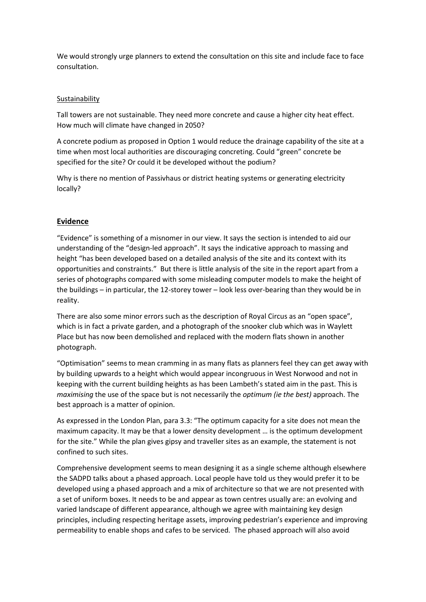We would strongly urge planners to extend the consultation on this site and include face to face consultation.

#### Sustainability

Tall towers are not sustainable. They need more concrete and cause a higher city heat effect. How much will climate have changed in 2050?

A concrete podium as proposed in Option 1 would reduce the drainage capability of the site at a time when most local authorities are discouraging concreting. Could "green" concrete be specified for the site? Or could it be developed without the podium?

Why is there no mention of Passivhaus or district heating systems or generating electricity locally?

## **Evidence**

"Evidence" is something of a misnomer in our view. It says the section is intended to aid our understanding of the "design-led approach". It says the indicative approach to massing and height "has been developed based on a detailed analysis of the site and its context with its opportunities and constraints." But there is little analysis of the site in the report apart from a series of photographs compared with some misleading computer models to make the height of the buildings – in particular, the 12-storey tower – look less over-bearing than they would be in reality.

There are also some minor errors such as the description of Royal Circus as an "open space", which is in fact a private garden, and a photograph of the snooker club which was in Waylett Place but has now been demolished and replaced with the modern flats shown in another photograph.

"Optimisation" seems to mean cramming in as many flats as planners feel they can get away with by building upwards to a height which would appear incongruous in West Norwood and not in keeping with the current building heights as has been Lambeth's stated aim in the past. This is *maximising* the use of the space but is not necessarily the *optimum (ie the best)* approach. The best approach is a matter of opinion.

As expressed in the London Plan, para 3.3: "The optimum capacity for a site does not mean the maximum capacity. It may be that a lower density development … is the optimum development for the site." While the plan gives gipsy and traveller sites as an example, the statement is not confined to such sites.

Comprehensive development seems to mean designing it as a single scheme although elsewhere the SADPD talks about a phased approach. Local people have told us they would prefer it to be developed using a phased approach and a mix of architecture so that we are not presented with a set of uniform boxes. It needs to be and appear as town centres usually are: an evolving and varied landscape of different appearance, although we agree with maintaining key design principles, including respecting heritage assets, improving pedestrian's experience and improving permeability to enable shops and cafes to be serviced. The phased approach will also avoid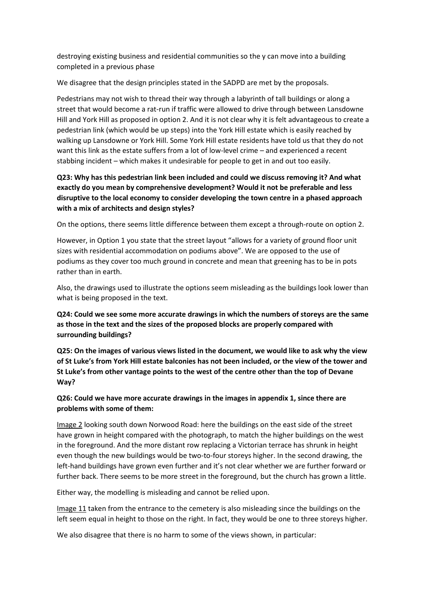destroying existing business and residential communities so the y can move into a building completed in a previous phase

We disagree that the design principles stated in the SADPD are met by the proposals.

Pedestrians may not wish to thread their way through a labyrinth of tall buildings or along a street that would become a rat-run if traffic were allowed to drive through between Lansdowne Hill and York Hill as proposed in option 2. And it is not clear why it is felt advantageous to create a pedestrian link (which would be up steps) into the York Hill estate which is easily reached by walking up Lansdowne or York Hill. Some York Hill estate residents have told us that they do not want this link as the estate suffers from a lot of low-level crime – and experienced a recent stabbing incident – which makes it undesirable for people to get in and out too easily.

# **Q23: Why has this pedestrian link been included and could we discuss removing it? And what exactly do you mean by comprehensive development? Would it not be preferable and less disruptive to the local economy to consider developing the town centre in a phased approach with a mix of architects and design styles?**

On the options, there seems little difference between them except a through-route on option 2.

However, in Option 1 you state that the street layout "allows for a variety of ground floor unit sizes with residential accommodation on podiums above". We are opposed to the use of podiums as they cover too much ground in concrete and mean that greening has to be in pots rather than in earth.

Also, the drawings used to illustrate the options seem misleading as the buildings look lower than what is being proposed in the text.

#### **Q24: Could we see some more accurate drawings in which the numbers of storeys are the same as those in the text and the sizes of the proposed blocks are properly compared with surrounding buildings?**

**Q25: On the images of various views listed in the document, we would like to ask why the view of St Luke's from York Hill estate balconies has not been included, or the view of the tower and St Luke's from other vantage points to the west of the centre other than the top of Devane Way?**

## **Q26: Could we have more accurate drawings in the images in appendix 1, since there are problems with some of them:**

Image 2 looking south down Norwood Road: here the buildings on the east side of the street have grown in height compared with the photograph, to match the higher buildings on the west in the foreground. And the more distant row replacing a Victorian terrace has shrunk in height even though the new buildings would be two-to-four storeys higher. In the second drawing, the left-hand buildings have grown even further and it's not clear whether we are further forward or further back. There seems to be more street in the foreground, but the church has grown a little.

Either way, the modelling is misleading and cannot be relied upon.

Image 11 taken from the entrance to the cemetery is also misleading since the buildings on the left seem equal in height to those on the right. In fact, they would be one to three storeys higher.

We also disagree that there is no harm to some of the views shown, in particular: